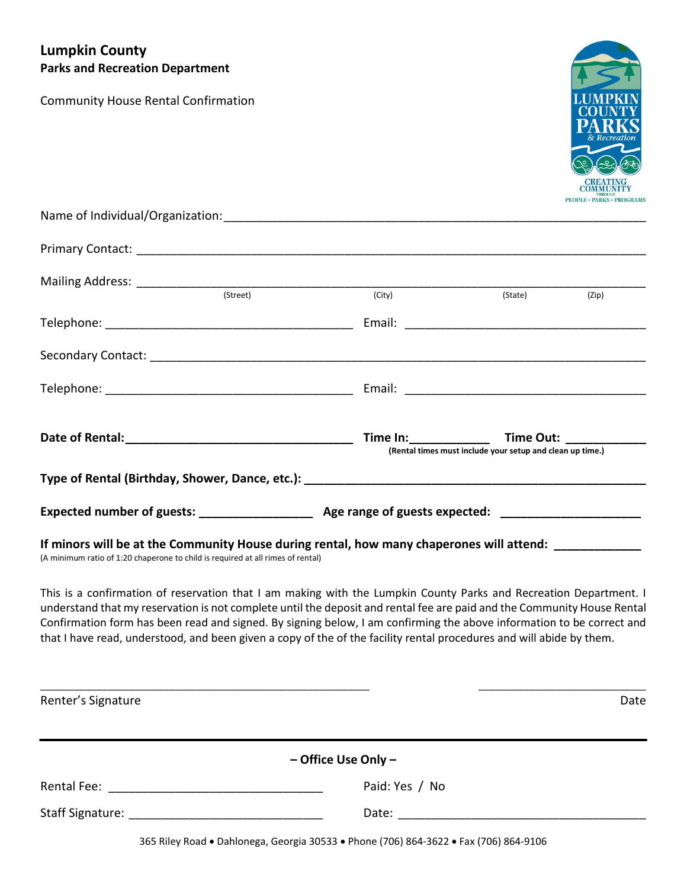# **Lumpkin County Parks and Recreation Department**

Community House Rental Confirmation



| (Street)                                                                                                                                                                                | (City) | (State) and the state of the state of the state of the state of the state of the state of the state of the state of the state of the state of the state of the state of the state of the state of the state of the state of th | (Zip) |  |
|-----------------------------------------------------------------------------------------------------------------------------------------------------------------------------------------|--------|--------------------------------------------------------------------------------------------------------------------------------------------------------------------------------------------------------------------------------|-------|--|
|                                                                                                                                                                                         |        |                                                                                                                                                                                                                                |       |  |
|                                                                                                                                                                                         |        |                                                                                                                                                                                                                                |       |  |
|                                                                                                                                                                                         |        |                                                                                                                                                                                                                                |       |  |
|                                                                                                                                                                                         |        | (Rental times must include your setup and clean up time.)                                                                                                                                                                      |       |  |
|                                                                                                                                                                                         |        |                                                                                                                                                                                                                                |       |  |
| Expected number of guests: ____________________ Age range of guests expected: _____________________                                                                                     |        |                                                                                                                                                                                                                                |       |  |
| If minors will be at the Community House during rental, how many chaperones will attend: ___________<br>(A minimum ratio of 1:20 chaperone to child is required at all rimes of rental) |        |                                                                                                                                                                                                                                |       |  |

This is a confirmation of reservation that I am making with the Lumpkin County Parks and Recreation Department. I understand that my reservation is not complete until the deposit and rental fee are paid and the Community House Rental Confirmation form has been read and signed. By signing below, I am confirming the above information to be correct and that I have read, understood, and been given a copy of the of the facility rental procedures and will abide by them.

| Renter's Signature                                                                                              |                     | Date |
|-----------------------------------------------------------------------------------------------------------------|---------------------|------|
|                                                                                                                 | - Office Use Only - |      |
| Rental Fee: and the state of the state of the state of the state of the state of the state of the state of the  | Paid: Yes / No      |      |
| Staff Signature: The Contract of the Contract of the Contract of the Contract of the Contract of the Contract o | Date: __________    |      |

365 Riley Road . Dahlonega, Georgia 30533 . Phone (706) 864-3622 . Fax (706) 864-9106